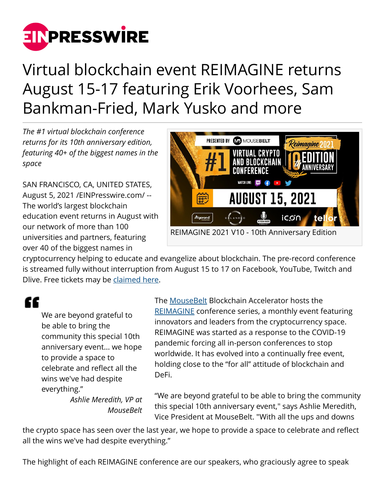

## Virtual blockchain event REIMAGINE returns August 15-17 featuring Erik Voorhees, Sam Bankman-Fried, Mark Yusko and more

*The #1 virtual blockchain conference returns for its 10th anniversary edition, featuring 40+ of the biggest names in the space*

SAN FRANCISCO, CA, UNITED STATES, August 5, 2021 /[EINPresswire.com/](http://www.einpresswire.com) -- The world's largest blockchain education event returns in August with our network of more than 100 universities and partners, featuring over 40 of the biggest names in



cryptocurrency helping to educate and evangelize about blockchain. The pre-record conference is streamed fully without interruption from August 15 to 17 on Facebook, YouTube, Twitch and Dlive. Free tickets may be [claimed here](https://bit.ly/RIPress).

££

We are beyond grateful to be able to bring the community this special 10th anniversary event... we hope to provide a space to celebrate and reflect all the wins we've had despite everything."

> *Ashlie Meredith, VP at MouseBelt*

The [MouseBelt](https://mousebelt.com) Blockchain Accelerator hosts the [REIMAGINE](https://ri2020.io) conference series, a monthly event featuring innovators and leaders from the cryptocurrency space. REIMAGINE was started as a response to the COVID-19 pandemic forcing all in-person conferences to stop worldwide. It has evolved into a continually free event, holding close to the "for all" attitude of blockchain and DeFi.

"We are beyond grateful to be able to bring the community this special 10th anniversary event," says Ashlie Meredith, Vice President at MouseBelt. "With all the ups and downs

the crypto space has seen over the last year, we hope to provide a space to celebrate and reflect all the wins we've had despite everything."

The highlight of each REIMAGINE conference are our speakers, who graciously agree to speak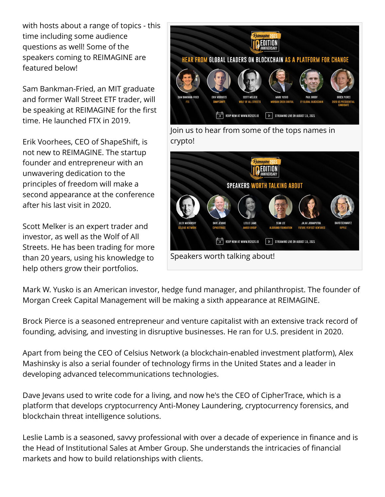with hosts about a range of topics - this time including some audience questions as well! Some of the speakers coming to REIMAGINE are featured below!

Sam Bankman-Fried, an MIT graduate and former Wall Street ETF trader, will be speaking at REIMAGINE for the first time. He launched FTX in 2019.

Erik Voorhees, CEO of ShapeShift, is not new to REIMAGINE. The startup founder and entrepreneur with an unwavering dedication to the principles of freedom will make a second appearance at the conference after his last visit in 2020.

Scott Melker is an expert trader and investor, as well as the Wolf of All Streets. He has been trading for more than 20 years, using his knowledge to help others grow their portfolios.



Mark W. Yusko is an American investor, hedge fund manager, and philanthropist. The founder of Morgan Creek Capital Management will be making a sixth appearance at REIMAGINE.

Brock Pierce is a seasoned entrepreneur and venture capitalist with an extensive track record of founding, advising, and investing in disruptive businesses. He ran for U.S. president in 2020.

Apart from being the CEO of Celsius Network (a blockchain-enabled investment platform), Alex Mashinsky is also a serial founder of technology firms in the United States and a leader in developing advanced telecommunications technologies.

Dave Jevans used to write code for a living, and now he's the CEO of CipherTrace, which is a platform that develops cryptocurrency Anti-Money Laundering, cryptocurrency forensics, and blockchain threat intelligence solutions.

Leslie Lamb is a seasoned, savvy professional with over a decade of experience in finance and is the Head of Institutional Sales at Amber Group. She understands the intricacies of financial markets and how to build relationships with clients.